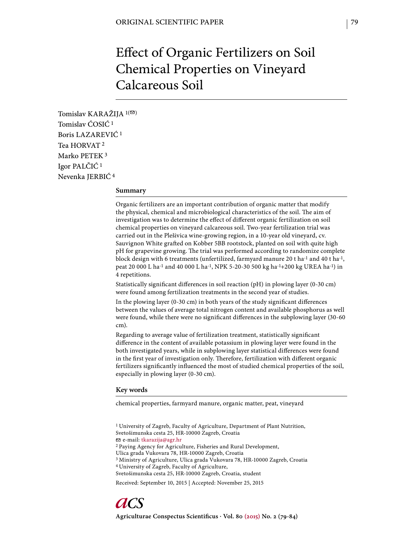# Effect of Organic Fertilizers on Soil Chemical Properties on Vineyard Calcareous Soil

Tomislav KARAŽIJA  $1($ Tomislav ĆOSIĆ 1 Boris LAZAREVIĆ 1 Tea HORVAT 2 Marko PETEK 3 Igor PALČIĆ 1 Nevenka JERBIĆ 4

## **Summary**

Organic fertilizers are an important contribution of organic matter that modify the physical, chemical and microbiological characteristics of the soil. The aim of investigation was to determine the effect of different organic fertilization on soil chemical properties on vineyard calcareous soil. Two-year fertilization trial was carried out in the Plešivica wine-growing region, in a 10-year old vineyard, cv. Sauvignon White grafted on Kobber 5BB rootstock, planted on soil with quite high pH for grapevine growing. The trial was performed according to randomize complete block design with 6 treatments (unfertilized, farmyard manure 20 t ha<sup>-1</sup> and 40 t ha<sup>-1</sup>, peat 20 000 L ha-1 and 40 000 L ha-1, NPK 5-20-30 500 kg ha-1+200 kg UREA ha-1) in 4 repetitions.

Statistically significant differences in soil reaction (pH) in plowing layer (0-30 cm) were found among fertilization treatments in the second year of studies.

In the plowing layer (0-30 cm) in both years of the study significant differences between the values of average total nitrogen content and available phosphorus as well were found, while there were no significant differences in the subplowing layer (30-60 cm).

Regarding to average value of fertilization treatment, statistically significant difference in the content of available potassium in plowing layer were found in the both investigated years, while in subplowing layer statistical differences were found in the first year of investigation only. Therefore, fertilization with different organic fertilizers significantly influenced the most of studied chemical properties of the soil, especially in plowing layer (0-30 cm).

## **Key words**

chemical properties, farmyard manure, organic matter, peat, vineyard

1 University of Zagreb, Faculty of Agriculture, Department of Plant Nutrition, Svetošimunska cesta 25, HR-10000 Zagreb, Croatia e-mail: tkarazija@agr.hr 2 Paying Agency for Agriculture, Fisheries and Rural Development, Ulica grada Vukovara 78, HR-10000 Zagreb, Croatia 3 Ministry of Agriculture, Ulica grada Vukovara 78, HR-10000 Zagreb, Croatia 4 University of Zagreb, Faculty of Agriculture, Svetošimunska cesta 25, HR-10000 Zagreb, Croatia, student

Received: September 10, 2015 | Accepted: November 25, 2015

Agriculturae Conspectus Scientificus · Vol. 80 (2015) No. 2 (79-84)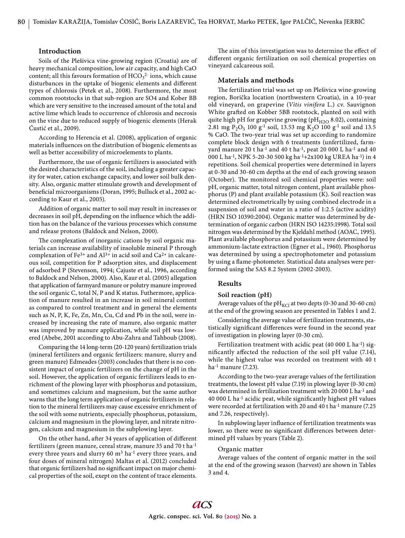# **Introduction**

Soils of the Plešivica vine-growing region (Croatia) are of heavy mechanical composition, low air capacity, and high CaO content; all this favours formation of  $\mathrm{HCO_3^{2-}}$  ions, which cause disturbances in the uptake of biogenic elements and different types of chlorosis (Petek et al., 2008). Furthermore, the most common rootstocks in that sub-region are SO4 and Kober BB which are very sensitive to the increased amount of the total and active lime which leads to occurrence of chlorosis and necrosis on the vine due to reduced supply of biogenic elements (Herak Ćustić et al., 2009).

According to Herencia et al. (2008), application of organic materials influences on the distribution of biogenic elements as well as better accessibility of microelements to plants.

Furthermore, the use of organic fertilizers is associated with the desired characteristics of the soil, including a greater capacity for water, cation exchange capacity, and lower soil bulk density. Also, organic matter stimulate growth and development of beneficial microorganisms (Doran, 1995; Bulluck et al., 2002 according to Kaur et al., 2005).

Addition of organic matter to soil may result in increases or decreases in soil pH, depending on the influence which the addition has on the balance of the various processes which consume and release protons (Baldock and Nelson, 2000).

The complexation of inorganic cations by soil organic materials can increase availability of insoluble mineral P through complexation of Fe<sup>3+</sup> and Al<sup>3+</sup> in acid soil and Ca<sup>2+</sup> in calcareous soil, competition for P adsorption sites, and displacement of adsorbed P (Stevenson, 1994; Cajuste et al., 1996, according to Baldock and Nelson, 2000). Also, Kaur et al. (2005) allegation that application of farmyard manure or polutry manure improved the soil organic C, total N, P and K status. Futhermore, application of manure resulted in an increase in soil mineral content as compared to control treatment and in general the elements such as N, P, K, Fe, Zn, Mn, Cu, Cd and Pb in the soil, were increased by increasing the rate of manure, also organic matter was improved by manure application, while soil pH was lowered (Abebe, 2001 according to Abu-Zahra and Tahboub (2008).

Comparing the 14 long-term (20-120 years) fertilization trials (mineral fertilizers and organic fertilizers: manure, slurry and green manure) Edmeades (2003) concludes that there is no consistent impact of organic fertilizers on the change of pH in the soil. However, the application of organic fertilizers leads to enrichment of the plowing layer with phosphorus and potassium, and sometimes calcium and magnesium, but the same author warns that the long term application of organic fertilizers in relation to the mineral fertilizers may cause excessive enrichment of the soil with some nutrients, especially phosphorus, potassium, calcium and magnesium in the plowing layer, and nitrate nitrogen, calcium and magnesium in the subplowing layer.

On the other hand, after 34 years of application of different fertilizers (green manure, cereal straw, manure 35 and 70 t ha-1 every three years and slurry 60  $m<sup>3</sup>$  ha<sup>-1</sup> every three years, and four doses of mineral nitrogen) Maltas et al. (2012) concluded that organic fertilizers had no significant impact on major chemical properties of the soil, exept on the content of trace elements.

The aim of this investigation was to determine the effect of different organic fertilization on soil chemical properties on vineyard calcareous soil.

## **Materials and methods**

The fertilization trial was set up on Plešivica wine-growing region, Borička location (northwestern Croatia), in a 10-year old vineyard, on grapevine (*Vitis vinifera* L.) cv. Sauvignon White grafted on Kobber 5BB rootstock, planted on soil with quite high pH for grapevine growing (p $H_{H2O}$  8.02), containing 2.81 mg P<sub>2</sub>O<sub>5</sub> 100 g<sup>-1</sup> soil, 13.53 mg K<sub>2</sub>O 100 g<sup>-1</sup> soil and 13.5 % CaO. The two-year trial was set up according to randomize complete block design with 6 treatments (unfertilized, farmyard manure 20 t ha<sup>-1</sup> and 40 t ha<sup>-1</sup>, peat 20 000 L ha<sup>-1</sup> and 40 000 L ha-1, NPK 5-20-30 500 kg ha-1+2x100 kg UREA ha-1) in 4 repetitions. Soil chemical properties were determined in layers at 0-30 and 30-60 cm depths at the end of each growing season (October). The monitored soil chemical properties were: soil pH, organic matter, total nitrogen content, plant available phosphorus (P) and plant available potassium (K). Soil reaction was determined electrometrically by using combined electrode in a suspension of soil and water in a ratio of 1:2.5 (active acidity) (HRN ISO 10390:2004). Organic matter was determined by determination of organic carbon (HRN ISO 14235:1998). Total soil nitrogen was determined by the Kjeldahl method (AOAC, 1995). Plant available phosphorus and potassium were determined by ammonium-lactate extraction (Egner et al., 1960). Phosphorus was determined by using a spectrophotometer and potassium by using a flame-photometer. Statistical data analyses were performed using the SAS 8.2 System (2002-2003).

# **Results**

## **Soil reaction (pH)**

Average values of the  $\text{pH}_{\text{KCl}}$  at two depts (0-30 and 30-60 cm) at the end of the growing season are presented in Tables 1 and 2.

Considering the average value of fertilization treatments, statistically significant differences were found in the second year of investigation in plowing layer (0-30 cm).

Fertilization treatment with acidic peat (40 000 L ha<sup>-1</sup>) significantly affected the reduction of the soil pH value (7.14), while the highest value was recorded on treatment with 40 t ha-1 manure (7.23).

According to the two-year average values of the fertilization treatments, the lowest pH value (7.19) in plowing layer (0-30 cm) was determined in fertilization treatment with 20 000 L ha-1 and  $40000$  L ha<sup>-1</sup> acidic peat, while significantly highest pH values were recorded at fertilization with 20 and 40 t ha-1 manure (7.25 and 7.26, respectively).

In subplowing layer influence of fertilization treatments was lower, so there were no significant differences between determined pH values by years (Table 2).

#### Organic matter

Average values of the content of organic matter in the soil at the end of the growing season (harvest) are shown in Tables 3 and 4.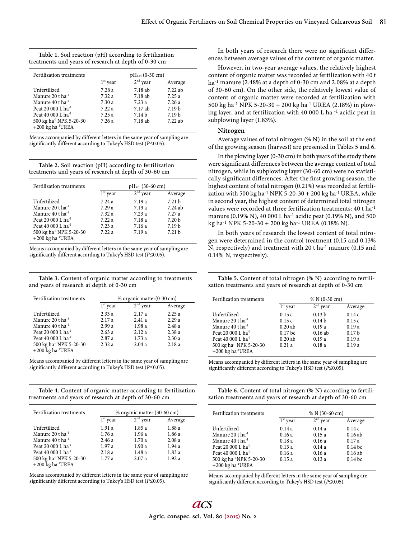| Table 1. Soil reaction (pH) according to fertilization |
|--------------------------------------------------------|
| treatments and years of research at depth of 0-30 cm   |

| Fertilization treatments            | $pH_{\text{KCl}}$ (0-30 cm) |                   |                   |
|-------------------------------------|-----------------------------|-------------------|-------------------|
|                                     | $1st$ year                  | $2nd$ year        | Average           |
| Unfertilized                        | 7.28a                       | 7.18 ab           | 7.22ab            |
| Manure 20 t ha <sup>-1</sup>        | 7.32a                       | 7.18 ab           | 7.25a             |
| Manure 40 t ha <sup>-1</sup>        | 7.30 a                      | 7.23a             | 7.26a             |
| Peat 20 000 L ha <sup>-1</sup>      | 7.22a                       | 7.17 ab           | 7.19 <sub>b</sub> |
| Peat 40 000 L ha <sup>-1</sup>      | 7.25a                       | 7.14 <sub>b</sub> | 7.19 <sub>b</sub> |
| 500 kg ha <sup>-1</sup> NPK 5-20-30 | 7.26a                       | 7.18 ab           | 7.22 ab           |
| $+200$ kg ha <sup>-1</sup> UREA     |                             |                   |                   |

Means accompanied by different letters in the same year of sampling are significantly different according to Tukey's HSD test (P≤0.05).

**Table 2.** Soil reaction (pH) according to fertilization treatments and years of research at depth of 30-60 cm

| Fertilization treatments                                               | $pH_{\text{KCl}}$ (30-60 cm) |            |                   |
|------------------------------------------------------------------------|------------------------------|------------|-------------------|
|                                                                        | $1st$ year                   | $2nd$ year | Average           |
| Unfertilized                                                           | 7.24a                        | 7.19a      | 7.21 <sub>b</sub> |
| Manure 20 t ha <sup>-1</sup>                                           | 7.29a                        | 7.19a      | $7.24$ ab         |
| Manure 40 t ha <sup>-1</sup>                                           | 7.32a                        | 7.23a      | 7.27a             |
| Peat 20 000 L ha <sup>-1</sup>                                         | 7.22a                        | 7.18 a     | 7.20 <sub>b</sub> |
| Peat 40 000 L ha <sup>-1</sup>                                         | 7.23a                        | 7.16 a     | 7.19 <sub>b</sub> |
| 500 kg ha <sup>-1</sup> NPK 5-20-30<br>$+200$ kg ha <sup>-1</sup> UREA | 7.22a                        | 7.19a      | 7.21 <sub>b</sub> |

Means accompanied by different letters in the same year of sampling are significantly different according to Tukey's HSD test (P≤0.05).

**Table 3.** Content of organic matter according to treatments and years of research at depth of 0-30 cm

| Fertilization treatments                                             | % organic matter(0-30 cm) |            |         |
|----------------------------------------------------------------------|---------------------------|------------|---------|
|                                                                      | $1st$ year                | $2nd$ year | Average |
| Unfertilized                                                         | 2.33a                     | 2.17a      | 2.25a   |
| Manure 20 t ha <sup>-1</sup>                                         | 2.17a                     | 2.41a      | 2.29a   |
| Manure 40 t ha <sup>-1</sup>                                         | 2.99a                     | 1.98a      | 2.48a   |
| Peat 20 000 L ha <sup>-1</sup>                                       | 2.63a                     | 2.12a      | 2.38a   |
| Peat 40 000 L ha <sup>-1</sup>                                       | 2.87a                     | 1.73a      | 2.30a   |
| 500 kg ha <sup>-1</sup> NPK 5-20-30<br>+200 kg ha <sup>-1</sup> UREA | 2.32a                     | 2.04a      | 2.18a   |

Means accompanied by different letters in the same year of sampling are significantly different according to Tukey's HSD test (P≤0.05).

**Table 4.** Content of organic matter according to fertilization treatments and years of research at depth of 30-60 cm

| Fertilization treatments                                             | % organic matter (30-60 cm) |            |         |
|----------------------------------------------------------------------|-----------------------------|------------|---------|
|                                                                      | $1st$ year                  | $2nd$ year | Average |
| Unfertilized                                                         | 1.91a                       | 1.85a      | 1.88 a  |
| Manure 20 t ha <sup>-1</sup>                                         | 1.76a                       | 1.96a      | 1.86a   |
| Manure 40 t ha <sup>-1</sup>                                         | 2.46a                       | 1.70a      | 2.08a   |
| Peat 20 000 L ha <sup>-1</sup>                                       | 1.97a                       | 1.90a      | 1.94 a  |
| Peat 40 000 L ha <sup>-1</sup>                                       | 2.18a                       | 1.48 a     | 1.83 a  |
| 500 kg ha <sup>-1</sup> NPK 5-20-30<br>+200 kg ha <sup>-1</sup> UREA | 1.77a                       | 2.07a      | 1.92a   |

Means accompanied by different letters in the same year of sampling are significantly different according to Tukey's HSD test (P≤0.05).

In both years of research there were no significant differences between average values of the content of organic matter.

However, in two-year average values, the relatively highest content of organic matter was recorded at fertilization with 40 t ha<sup>-1</sup> manure (2.48% at a depth of 0-30 cm and 2.08% at a depth of 30-60 cm). On the other side, the relatively lowest value of content of organic matter were recorded at fertilization with 500 kg ha-1 NPK 5-20-30 + 200 kg ha-1 UREA (2.18%) in plowing layer, and at fertilization with 40 000 L ha -1 acidic peat in subplowing layer (1.83%).

## **Nitrogen**

Average values of total nitrogen (% N) in the soil at the end of the growing season (harvest) are presented in Tables 5 and 6.

In the plowing layer (0-30 cm) in both years of the study there were significant differences between the average content of total nitrogen, while in subplowing layer (30-60 cm) were no statistically significant differences. After the first growing season, the highest content of total nitrogen (0.21%) was recorded at fertilization with 500 kg ha<sup>-1</sup> NPK 5-20-30 + 200 kg ha<sup>-1</sup> UREA, while in second year, the highest content of determined total nitrogen values were recorded at three fertilization treatments: 40 t ha-1 manure (0.19% N), 40 000 L ha-1 acidic peat (0.19% N), and 500 kg ha-1 NPK 5-20-30 + 200 kg ha-1 UREA (0.18% N).

In both years of research the lowest content of total nitrogen were determined in the control treatment (0.15 and 0.13% N, respectively) and treatment with 20 t ha-1 manure (0.15 and 0.14% N, respectively).

**Table 5.** Content of total nitrogen (% N) according to fertilization treatments and years of research at depth of 0-30 cm

| Fertilization treatments                                             | $% N(0-30 cm)$     |                   |                   |
|----------------------------------------------------------------------|--------------------|-------------------|-------------------|
|                                                                      | $1st$ year         | $2nd$ year        | Average           |
| Unfertilized                                                         | 0.15c              | 0.13 <sub>b</sub> | 0.14c             |
| Manure 20 t ha <sup>-1</sup>                                         | 0.15c              | 0.14 <sub>b</sub> | 0.15c             |
| Manure $40$ t ha <sup>-1</sup>                                       | 0.20ab             | 0.19a             | 0.19a             |
| Peat 20 000 L ha <sup>-1</sup>                                       | 0.17 <sub>bc</sub> | $0.16$ ab         | 0.17 <sub>b</sub> |
| Peat 40 000 L ha <sup>-1</sup>                                       | 0.20ab             | 0.19a             | 0.19a             |
| 500 kg ha <sup>-1</sup> NPK 5-20-30<br>+200 kg ha <sup>-1</sup> UREA | 0.21a              | 0.18a             | 0.19a             |

Means accompanied by different letters in the same year of sampling are significantly different according to Tukey's HSD test ( $P \le 0.05$ ).

**Table 6.** Content of total nitrogen (% N) according to fertilization treatments and years of research at depth of 30-60 cm

| Fertilization treatments                                             |            | $% N(30-60 cm)$ |           |
|----------------------------------------------------------------------|------------|-----------------|-----------|
|                                                                      | $1st$ year | $2nd$ year      | Average   |
| Unfertilized                                                         | 0.14a      | 0.14a           | 0.14c     |
| Manure 20 t ha <sup>-1</sup>                                         | 0.16a      | 0.15a           | 0.16ab    |
| Manure 40 t ha <sup>-1</sup>                                         | 0.18a      | 0.16a           | 0.17a     |
| Peat 20 000 L ha <sup>-1</sup>                                       | 0.15a      | 0.14a           | $0.14$ bc |
| Peat 40 000 L ha $^{-1}$                                             | 0.16a      | 0.16a           | 0.16ab    |
| 500 kg ha <sup>-1</sup> NPK 5-20-30<br>+200 kg ha <sup>-1</sup> UREA | 0.15a      | 0.13a           | $0.14$ bc |

Means accompanied by different letters in the same year of sampling are significantly different according to Tukey's HSD test (P≤0.05).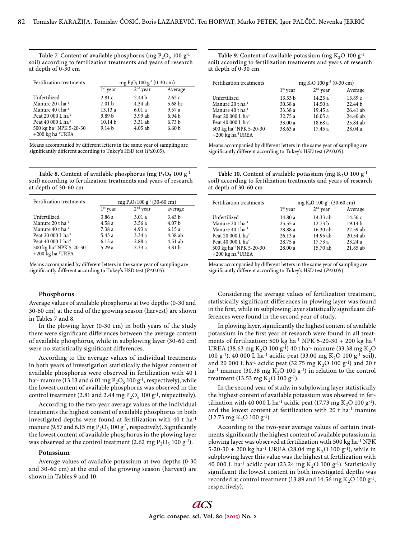Table 7. Content of available phosphorus (mg  $P_2O_5$  100 g<sup>-1</sup> soil) according to fertilization treatments and years of research at depth of 0-30 cm

| Fertilization treatments                                               | mg P <sub>2</sub> O <sub>5</sub> 100 g <sup>-1</sup> (0-30 cm) |                   |                   |
|------------------------------------------------------------------------|----------------------------------------------------------------|-------------------|-------------------|
|                                                                        | $1st$ year                                                     | $2nd$ year        | Average           |
| Unfertilized                                                           | 2.81c                                                          | 2.44 <sub>b</sub> | 2.62c             |
| Manure 20 t ha <sup>-1</sup>                                           | 7.01 <sub>b</sub>                                              | $4.34$ ab         | 5.68 bc           |
| Manure 40 t ha $^{-1}$                                                 | 13.13a                                                         | 6.01a             | 9.57a             |
| Peat 20 000 L ha <sup>-1</sup>                                         | 9.89 <sub>b</sub>                                              | $3.99$ ab         | 6.94 <sub>b</sub> |
| Peat 40 000 L ha <sup>-1</sup>                                         | 10.14 <sub>b</sub>                                             | 3.31 ab           | 6.73 <sub>b</sub> |
| 500 kg ha <sup>-1</sup> NPK 5-20-30<br>$+200$ kg ha <sup>-1</sup> UREA | 9.14 <sub>b</sub>                                              | $4.05$ ab         | 6.60 <sub>b</sub> |

Means accompanied by different letters in the same year of sampling are significantly different according to Tukey's HSD test ( $P \le 0.05$ ).

**Table 8.** Content of available phosphorus (mg  $P_2O_5$  100 g<sup>-1</sup> soil) according to fertilization treatments and years of research at depth of 30-60 cm

| Fertilization treatments            | mg P <sub>2</sub> O <sub>5</sub> 100 g <sup>-1</sup> (30-60 cm) |            |                   |
|-------------------------------------|-----------------------------------------------------------------|------------|-------------------|
|                                     | $1st$ year                                                      | $2nd$ year | average           |
| Unfertilized                        | 3.86 a                                                          | 3.01a      | 3.43 <sub>b</sub> |
| Manure 20 t ha <sup>-1</sup>        | 4.58 a                                                          | 3.56a      | 4.07 <sub>b</sub> |
| Manure 40 t ha <sup>-1</sup>        | 7.38 a                                                          | 4.93 a     | 6.15a             |
| Peat 20 000 L ha <sup>-1</sup>      | 5.43 a                                                          | 3.34a      | 4.38 ab           |
| Peat 40 000 L ha <sup>-1</sup>      | 6.13 a                                                          | 2.88a      | 4.51 ab           |
| 500 kg ha <sup>-1</sup> NPK 5-20-30 | 5.29a                                                           | 2.33a      | 3.81 b            |
| +200 kg ha <sup>-1</sup> UREA       |                                                                 |            |                   |

Means accompanied by different letters in the same year of sampling are significantly different according to Tukey's HSD test (P≤0.05).

# **Phosphorus**

Average values of available phosphorus at two depths (0-30 and 30-60 cm) at the end of the growing season (harvest) are shown in Tables 7 and 8.

In the plowing layer (0-30 cm) in both years of the study there were significant differences between the average content of available phosphorus, while in subplowing layer (30-60 cm) were no statistically significant differences.

According to the average values of individual treatments in both years of investigation statistically the higest content of available phosphorus were observed in fertilization with 40 t ha<sup>-1</sup> manure (13.13 and 6.01 mg  $P_2O_5$  100 g<sup>-1</sup>, respectively), while the lowest content of available phosphorus was observed in the control treatment (2.81 and 2.44 mg  $P_2O_5$  100 g<sup>-1</sup>, respectively).

According to the two-year average values of the individual treatments the highest content of available phosphorus in both investigated depths were found at fertilization with 40 t ha-1 manure (9.57 and 6.15 mg  $P_2O_5$  100 g<sup>-1</sup>, respectively). Significantly the lowest content of available phosphorus in the plowing layer was observed at the control treatment (2.62 mg  $P_2O_5$  100 g<sup>-1</sup>).

#### **Potassium**

Average values of available potassium at two depths (0-30 and 30-60 cm) at the end of the growing season (harvest) are shown in Tables 9 and 10.

Table 9. Content of available potassium (mg  $K_2O$  100  $g^{-1}$ soil) according to fertilization treatments and years of research at depth of 0-30 cm

| Fertilization treatments            | mg K <sub>2</sub> O 100 g <sup>-1</sup> (0-30 cm) |            |                    |
|-------------------------------------|---------------------------------------------------|------------|--------------------|
|                                     | $1st$ year                                        | $2nd$ year | Average            |
| Unfertilized                        | 13.53 <sub>b</sub>                                | 14.25a     | 13.89c             |
| Manure 20 t ha <sup>-1</sup>        | 30.38a                                            | 14.50 a    | 22.44 <sub>b</sub> |
| Manure 40 t ha <sup>-1</sup>        | 33.38 a                                           | 19.45a     | $26.41$ ab         |
| Peat 20 000 L ha <sup>-1</sup>      | 32.75a                                            | 16.05a     | 24.40 ab           |
| Peat 40 000 L ha $^{-1}$            | 33.00a                                            | 18.68 a    | 25.84 ab           |
| 500 kg ha <sup>-1</sup> NPK 5-20-30 | 38.63 a                                           | 17.45a     | 28.04a             |
| $+200$ kg ha <sup>-1</sup> UREA     |                                                   |            |                    |

Means accompanied by different letters in the same year of sampling are significantly different according to Tukey's HSD test ( $P \le 0.05$ ).

**Table 10.** Content of available potassium (mg  $K_2O$  100 g<sup>-1</sup> soil) according to fertilization treatments and years of research at depth of 30-60 cm

| Fertilization treatments            | mg K <sub>2</sub> O 100 g <sup>-1</sup> (30-60 cm) |                    |                    |
|-------------------------------------|----------------------------------------------------|--------------------|--------------------|
|                                     | $1st$ year                                         | $2nd$ year         | Average            |
| Unfertilized                        | 14.80 a                                            | 14.33 ab           | 14.56c             |
| Manure 20 t ha <sup>-1</sup>        | 25.55a                                             | 12.73 <sub>b</sub> | 19.14 <sub>b</sub> |
| Manure 40 t ha <sup>-1</sup>        | 28.88 a                                            | $16.30$ ab         | $22.59$ ab         |
| Peat 20 000 L ha <sup>-1</sup>      | 26.13a                                             | 14.95 ab           | $20.54$ ab         |
| Peat 40 000 L ha <sup>-1</sup>      | 28.75 a                                            | 17.73 a            | 23.24a             |
| 500 kg ha <sup>-1</sup> NPK 5-20-30 | 28.00 a                                            | 15.70 ab           | 21.85 ab           |
| $+200$ kg ha <sup>-1</sup> UREA     |                                                    |                    |                    |

Means accompanied by different letters in the same year of sampling are significantly different according to Tukey's HSD test (P≤0.05).

Considering the average values of fertilization treatment, statistically significant differences in plowing layer was found in the first, while in subplowing layer statistically significant differences were found in the second year of study.

In plowing layer, significantly the highest content of available potassium in the first year of research were found in all treatments of fertilization: 500 kg ha<sup>-1</sup> NPK 5-20-30 + 200 kg ha<sup>-1</sup> UREA (38.63 mg K<sub>2</sub>O 100 g<sup>-1</sup>) 40 t ha<sup>-1</sup> manure (33.38 mg K<sub>2</sub>O 100 g<sup>-1</sup>), 40 000 L ha<sup>-1</sup> acidic peat (33.00 mg K<sub>2</sub>O 100 g<sup>-1</sup> soil), and 20 000 L ha<sup>-1</sup> acidic peat (32.75 mg  $K_2O$  100 g<sup>-1</sup>) and 20 t ha<sup>-1</sup> manure (30.38 mg K<sub>2</sub>O 100 g<sup>-1</sup>) in relation to the control treatment (13.53 mg K<sub>2</sub>O 100 g<sup>-1</sup>).

In the second year of study, in subplowing layer statistically the highest content of available potassium was observed in fertilization with 40 000 L ha<sup>-1</sup> acidic peat (17.73 mg K<sub>2</sub>O 100 g<sup>-1</sup>), and the lowest content at fertilization with 20 t ha-1 manure  $(12.73 \text{ mg K}_2\text{O } 100 \text{ g}^{-1}).$ 

According to the two-year average values of certain treatments significantly the highest content of available potassium in plowing layer was observed at fertilization with 500 kg ha-1 NPK 5-20-30 + 200 kg ha<sup>-1</sup> UREA (28.04 mg K<sub>2</sub>O 100 g<sup>-1</sup>), while in subplowing layer this value was the highest at fertilization with 40 000 L ha<sup>-1</sup> acidic peat (23.24 mg  $K_2O$  100 g<sup>-1</sup>). Statistically significant the lowest content in both investigated depths was recorded at control treatment (13.89 and 14.56 mg  $K_2O$  100  $g^{-1}$ , respectively).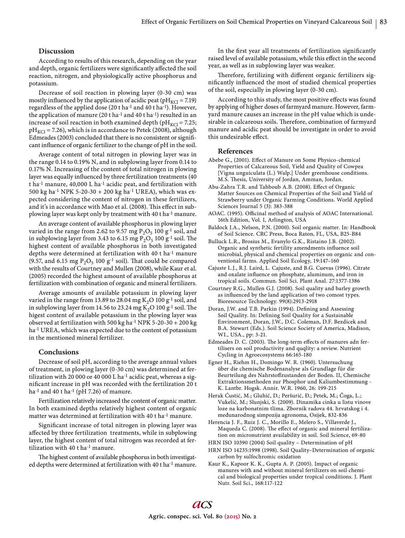# **Discussion**

According to results of this research, depending on the year and depth, organic fertilizers were significantly affected the soil reaction, nitrogen, and physiologically active phosphorus and potassium.

Decrease of soil reaction in plowing layer (0-30 cm) was mostly influenced by the application of acidic peat ( $pH_{KCl} = 7.19$ ) regardless of the applied dose (20 t ha<sup>-1</sup> and 40 t ha<sup>-1</sup>). However, the application of manure (20 t ha<sup>-1</sup> and 40 t ha<sup>-1</sup>) resulted in an increase of soil reaction in both examined depth ( $pH_{KCl}$  = 7.25;  $pH_{\text{KCl}}$  = 7.26), which is in accordance to Petek (2008), although Edmeades (2003) concluded that there is no consistent or significant influence of organic fertilizer to the change of pH in the soil.

Average content of total nitrogen in plowing layer was in the range 0.14 to 0.19% N, and in subplowing layer from 0.14 to 0.17% N. Increasing of the content of total nitrogen in plowing layer was equally influenced by three fertilization treatments (40) t ha<sup>-1</sup> manure, 40,000 L ha<sup>-1</sup> acidic peat, and fertilization with 500 kg ha<sup>-1</sup> NPK 5-20-30 + 200 kg ha<sup>-1</sup> UREA), which was expected considering the content of nitrogen in these fertilizers, and it's in accordance with Mao et al. (2008). This effect in subplowing layer was kept only by treatment with 40 t ha-1 manure.

An average content of available phosphorus in plowing layer varied in the range from 2.62 to 9.57 mg  $P_2O_5$  100 g<sup>-1</sup> soil, and in subplowing layer from 3.43 to 6.15 mg  $P_2O_5$  100 g<sup>-1</sup> soil. The highest content of available phosphorus in both investigated depths were determined at fertilization with 40 t ha-1 manure (9.57, and 6.15 mg  $P_2O_5$  100 g<sup>-1</sup> soil). That could be compared with the results of Courtney and Mullen (2008), while Kaur et al. (2005) recorded the highest amount of available phosphorus at fertilization with combination of organic and mineral fertilizers.

Average amounts of available potassium in plowing layer varied in the range from 13.89 to 28.04 mg  $K_2O$  100 g<sup>-1</sup> soil, and in subplowing layer from 14.56 to 23.24 mg  $K_2O$  100 g<sup>-1</sup> soil. The higest content of available potassium in the plowing layer was observed at fertilization with 500 kg ha<sup>-1</sup> NPK 5-20-30 + 200 kg ha-1 UREA, which was expected due to the content of potassium in the mentioned mineral fertilizer.

# **Conclusions**

Decrease of soil pH, according to the average annual values of treatment, in plowing layer (0-30 cm) was determined at fertilization with 20 000 or 40 000 L ha-1 acidic peat, whereas a significant increase in pH was recorded with the fertilization 20 t ha<sup>-1</sup> and 40 t ha<sup>-1</sup> (pH 7.26) of manure.

Fertilization relatively increased the content of organic matter. In both examined depths relatively highest content of organic matter was determined at fertilization with 40 t ha-1 manure.

Significant increase of total nitrogen in plowing layer was affected by three fertilization treatments, while in subplowing layer, the highest content of total nitrogen was recorded at fertilization with 40 t ha-1 manure.

The highest content of available phosphorus in both investigated depths were determined at fertilization with 40 t ha-1 manure.

In the first year all treatments of fertilization significantly raised level of available potassium, while this effect in the second year, as well as in subplowing layer was weaker.

Therefore, fertilizing with different organic fertilizers significantly influenced the most of studied chemical properties of the soil, especially in plowing layer (0-30 cm).

According to this study, the most positive effects was found by applying of higher doses of farmyard manure. However, farmyard manure causes an increase in the pH value which is undesirable in calcareous soils. Therefore, combination of farmyard manure and acidic peat should be investigate in order to avoid this undesirable effect.

## **References**

- Abebe G., (2001). Effect of Manure on Some Physico-chemical Properties of Calcareous Soil, Yield and Quality of Cowpea [Vigna unguiculata (L.) Walp.] Under greenhouse conditions. M.S. Thesis, University of Jordan, Amman, Jordan.
- Abu-Zahra T.R. and Tahboub A.B. (2008). Effect of Organic Matter Sources on Chemical Properties of the Soil and Yield of Strawberry under Organic Farming Conditions. World Applied Sciences Journal 5 (3): 383-388
- AOAC. (1995). Officinal method of analysis of AOAC International. 16th Edition, Vol. I, Arlington, USA
- Baldock J.A., Nelson, P.N. (2000). Soil organic matter. In: Handbook of Soil Science. CRC Press, Boca Raton, FL, USA, B25-B84
- Bulluck L.R., Brosius M., Evanylo G.K., Ristaino J.B. (2002). Organic and synthetic fertility amendments influence soil microbial, physical and chemical properties on organic and conventional farms. Applied Soil Ecology, 19:147–160
- Cajuste L.J., R.J. Laird, L. Cajuste, and B.G. Cuevas (1996). Citrate and oxalate influence on phosphate, aluminum, and iron in tropical soils. Commun. Soil Sci. Plant Anal. 27:1377-1386
- Courtney R.G., Mullen G.J. (2008). Soil quality and barley growth as influenced by the land application of two comost types. Bioresource Technology. 99(8):2913-2918
- Doran, J.W. and T.B. Parkin (1994). Defining and Assessing Soil Quality. In: Defining Soil Quality for a Sustainable Environment, Doran, J.W., D.C. Coleman, D.F. Bezdicek and B.A. Stewart (Eds.). Soil Science Society of America, Madison, WI., USA., pp: 3-21.
- Edmeades D. C. (2003). The long-term effects of manures adn fertilisers on soil productivity and quqlity: a review. Nutrient Cycling in Agroecosystems 66:165-180
- Egner H., Riehm H., Domingo W. R. (1960). Untersuchung über die chemische Bodenanalyse als Grundlage für die Beurteilung des Nahrstoffzustanden der Boden. II, Chemische Extraktionsmethoden zur Phosphor und Kaliumbestimmung - K. Lantbr. Hogsk. Annir. W.R. 1960, 26: 199-215
- Herak Ćustić, M.; Gluhić, D.; Peršurić, Đ.; Petek, M.; Čoga, L.; Vukelić, M.; Slunjski, S. (2009). Dinamika cinka u listu vinove loze na karbonatnim tlima. Zbornik radova 44. hrvatskog i 4. međunarodnog simpozija agronoma, Osijek, 832-836
- Herencia J. F., Ruiz J. C., Morillo E., Melero S., Villaverde J., Maqueda C. (2008). The effect of organic and mineral fertilization on micronutrient availability in soil. Soil Science, 69-80
- HRN ISO 10390 (2004) Soil quality Determination of pH
- HRN ISO 14235:1998 (1998). Soil Quality–Determination of organic carbon by sulfochromic oxidation
- Kaur K., Kapoor K. K., Gupta A. P. (2005). Impact of organic manures with and without mineral fertilizers on soil chemical and biological properties under tropical conditions. J. Plant Nutr. Soil Sci., 168:117-122